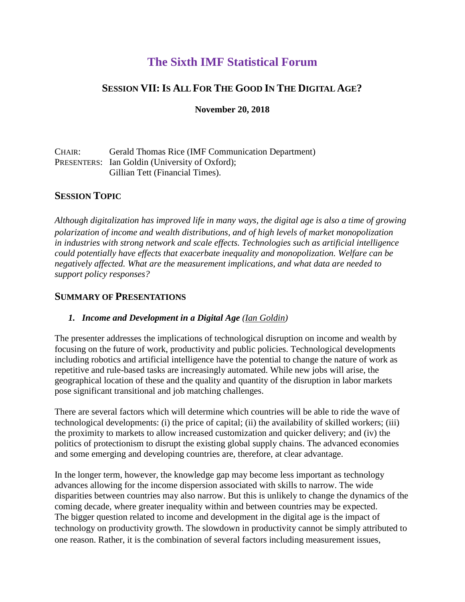# **The Sixth IMF Statistical Forum**

## **SESSION VII:IS ALL FOR THE GOOD IN THE DIGITAL AGE?**

#### **November 20, 2018**

#### CHAIR: Gerald Thomas Rice (IMF Communication Department) PRESENTERS: Ian Goldin (University of Oxford); Gillian Tett (Financial Times).

## **SESSION TOPIC**

*Although digitalization has improved life in many ways, the digital age is also a time of growing polarization of income and wealth distributions, and of high levels of market monopolization in industries with strong network and scale effects. Technologies such as artificial intelligence could potentially have effects that exacerbate inequality and monopolization. Welfare can be negatively affected. What are the measurement implications, and what data are needed to support policy responses?* 

### **SUMMARY OF PRESENTATIONS**

#### *1. Income and Development in a Digital Age (Ian Goldin)*

The presenter addresses the implications of technological disruption on income and wealth by focusing on the future of work, productivity and public policies. Technological developments including robotics and artificial intelligence have the potential to change the nature of work as repetitive and rule-based tasks are increasingly automated. While new jobs will arise, the geographical location of these and the quality and quantity of the disruption in labor markets pose significant transitional and job matching challenges.

There are several factors which will determine which countries will be able to ride the wave of technological developments: (i) the price of capital; (ii) the availability of skilled workers; (iii) the proximity to markets to allow increased customization and quicker delivery; and (iv) the politics of protectionism to disrupt the existing global supply chains. The advanced economies and some emerging and developing countries are, therefore, at clear advantage.

In the longer term, however, the knowledge gap may become less important as technology advances allowing for the income dispersion associated with skills to narrow. The wide disparities between countries may also narrow. But this is unlikely to change the dynamics of the coming decade, where greater inequality within and between countries may be expected. The bigger question related to income and development in the digital age is the impact of technology on productivity growth. The slowdown in productivity cannot be simply attributed to one reason. Rather, it is the combination of several factors including measurement issues,